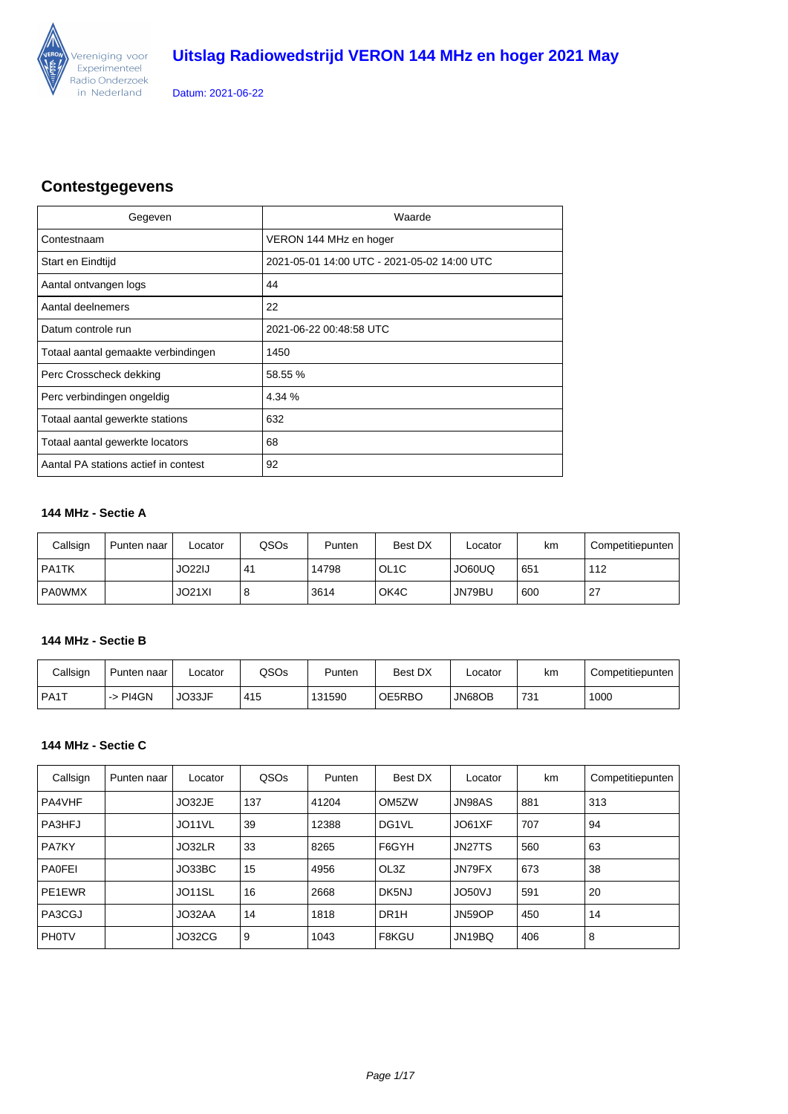

### **Contestgegevens**

| Gegeven                              | Waarde                                      |
|--------------------------------------|---------------------------------------------|
| Contestnaam                          | VERON 144 MHz en hoger                      |
| Start en Eindtijd                    | 2021-05-01 14:00 UTC - 2021-05-02 14:00 UTC |
| Aantal ontvangen logs                | 44                                          |
| Aantal deelnemers                    | 22                                          |
| Datum controle run                   | 2021-06-22 00:48:58 UTC                     |
| Totaal aantal gemaakte verbindingen  | 1450                                        |
| Perc Crosscheck dekking              | 58.55 %                                     |
| Perc verbindingen ongeldig           | 4.34 %                                      |
| Totaal aantal gewerkte stations      | 632                                         |
| Totaal aantal gewerkte locators      | 68                                          |
| Aantal PA stations actief in contest | 92                                          |

### **144 MHz - Sectie A**

| Callsign | Punten naar | _ocator | QSOs | Punten | Best DX           | ∟ocator | km  | Competitiepunten |
|----------|-------------|---------|------|--------|-------------------|---------|-----|------------------|
| l PA1TK  |             | JO22IJ  | 41   | 14798  | OL <sub>1</sub> C | JO60UQ  | 651 | 112              |
| l PA0WMX |             | JO21XI  | 8    | 3614   | OK4C              | JN79BU  | 600 | 27               |

### **144 MHz - Sectie B**

| Callsign | Punten naar | -ocator | QSOs | Punten | Best DX | ∟ocator | km  | Competitiepunten |
|----------|-------------|---------|------|--------|---------|---------|-----|------------------|
| I PA1T   | PI4GN<br>ำ> | JO33JF  | 415  | 131590 | OE5RBO  | JN68OB  | 731 | 1000             |

### **144 MHz - Sectie C**

| Callsign      | Punten naar | Locator | QSOs | Punten | Best DX            | Locator | km  | Competitiepunten |
|---------------|-------------|---------|------|--------|--------------------|---------|-----|------------------|
| PA4VHF        |             | JO32JE  | 137  | 41204  | OM <sub>5</sub> ZW | JN98AS  | 881 | 313              |
| PA3HFJ        |             | JO11VL  | 39   | 12388  | DG1VL              | JO61XF  | 707 | 94               |
| <b>PA7KY</b>  |             | JO32LR  | 33   | 8265   | F6GYH              | JN27TS  | 560 | 63               |
| <b>PAOFEI</b> |             | JO33BC  | 15   | 4956   | OL3Z               | JN79FX  | 673 | 38               |
| PE1EWR        |             | JO11SL  | 16   | 2668   | DK5NJ              | JO50VJ  | 591 | 20               |
| PA3CGJ        |             | JO32AA  | 14   | 1818   | DR <sub>1</sub> H  | JN59OP  | 450 | 14               |
| PHOTV         |             | JO32CG  | 9    | 1043   | F8KGU              | JN19BQ  | 406 | 8                |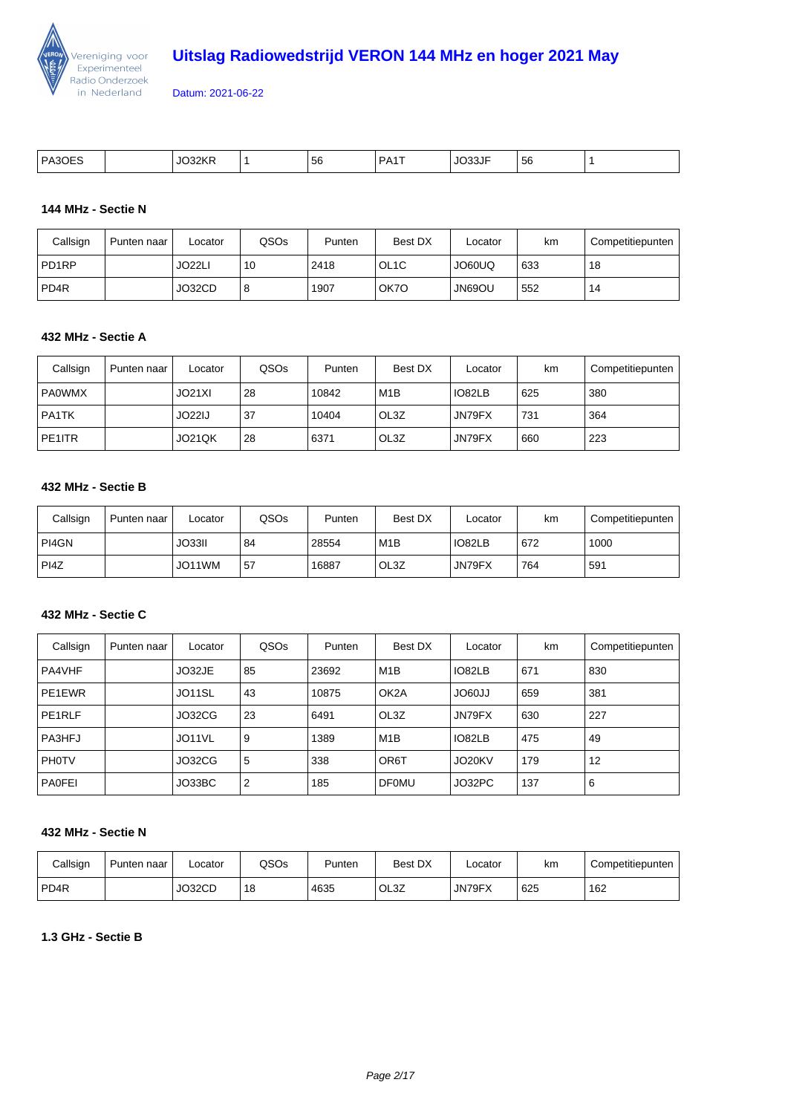

| PA3<br>___ | 22.5<br>к<br>- - | 56 | DA <sub>1</sub> | JO33JF<br>. | $\sim$<br>' 56<br>- - |  |
|------------|------------------|----|-----------------|-------------|-----------------------|--|

#### **144 MHz - Sectie N**

| Callsign         | Punten naar | Locator             | QSOs | Punten | Best DX           | Locator             | km  | Competitiepunten |
|------------------|-------------|---------------------|------|--------|-------------------|---------------------|-----|------------------|
| PD1RP            |             | JO <sub>22</sub> LI | 10   | 2418   | OL <sub>1</sub> C | JO60UQ              | 633 | 18               |
| PD <sub>4R</sub> |             | JO32CD              | 8    | 1907   | OK7O              | UO <sub>69</sub> OU | 552 | 14               |

#### **432 MHz - Sectie A**

| Callsign      | Punten naar | Locator       | QSO <sub>s</sub> | Punten | Best DX          | Locator | km  | Competitiepunten |
|---------------|-------------|---------------|------------------|--------|------------------|---------|-----|------------------|
| <b>PA0WMX</b> |             | JO21XI        | 28               | 10842  | M <sub>1</sub> B | IO82LB  | 625 | 380              |
| PA1TK         |             | JO22IJ        | 37               | 10404  | OL3Z             | JN79FX  | 731 | 364              |
| PE1ITR        |             | <b>JO21QK</b> | 28               | 6371   | OL3Z             | JN79FX  | 660 | 223              |

### **432 MHz - Sectie B**

| Callsign | Punten naar | _ocator | QSOs | Punten | Best DX          | Locator | km  | Competitiepunten |
|----------|-------------|---------|------|--------|------------------|---------|-----|------------------|
| l PI4GN  |             | JO33II  | 84   | 28554  | M <sub>1</sub> B | IO82LB  | 672 | 1000             |
| PI4Z     |             | JO11WM  | .57  | 16887  | OL3Z             | JN79FX  | 764 | 591              |

### **432 MHz - Sectie C**

| Callsign      | Punten naar | Locator | QSO <sub>s</sub> | Punten | Best DX           | Locator       | km  | Competitiepunten |
|---------------|-------------|---------|------------------|--------|-------------------|---------------|-----|------------------|
| <b>PA4VHF</b> |             | JO32JE  | 85               | 23692  | M <sub>1</sub> B  | IO82LB        | 671 | 830              |
| PE1EWR        |             | JO11SL  | 43               | 10875  | OK <sub>2</sub> A | <b>LL09OL</b> | 659 | 381              |
| PE1RLF        |             | JO32CG  | 23               | 6491   | OL3Z              | JN79FX        | 630 | 227              |
| <b>PA3HFJ</b> |             | JO11VL  | 9                | 1389   | M1B               | IO82LB        | 475 | 49               |
| <b>PHOTV</b>  |             | JO32CG  | 5                | 338    | OR <sub>6</sub> T | JO20KV        | 179 | 12               |
| <b>PAOFEI</b> |             | JO33BC  | $\overline{2}$   | 185    | <b>DF0MU</b>      | JO32PC        | 137 | 6                |

### **432 MHz - Sectie N**

| Callsign         | Punten<br>naar | _ocator | QSOs | Punten | <b>Best DX</b> | ∟ocator | km  | Competitiepunten |
|------------------|----------------|---------|------|--------|----------------|---------|-----|------------------|
| PD <sub>4R</sub> |                | JO32CD  | 18   | 4635   | OL3Z           | JN79FX  | 625 | 162              |

### **1.3 GHz - Sectie B**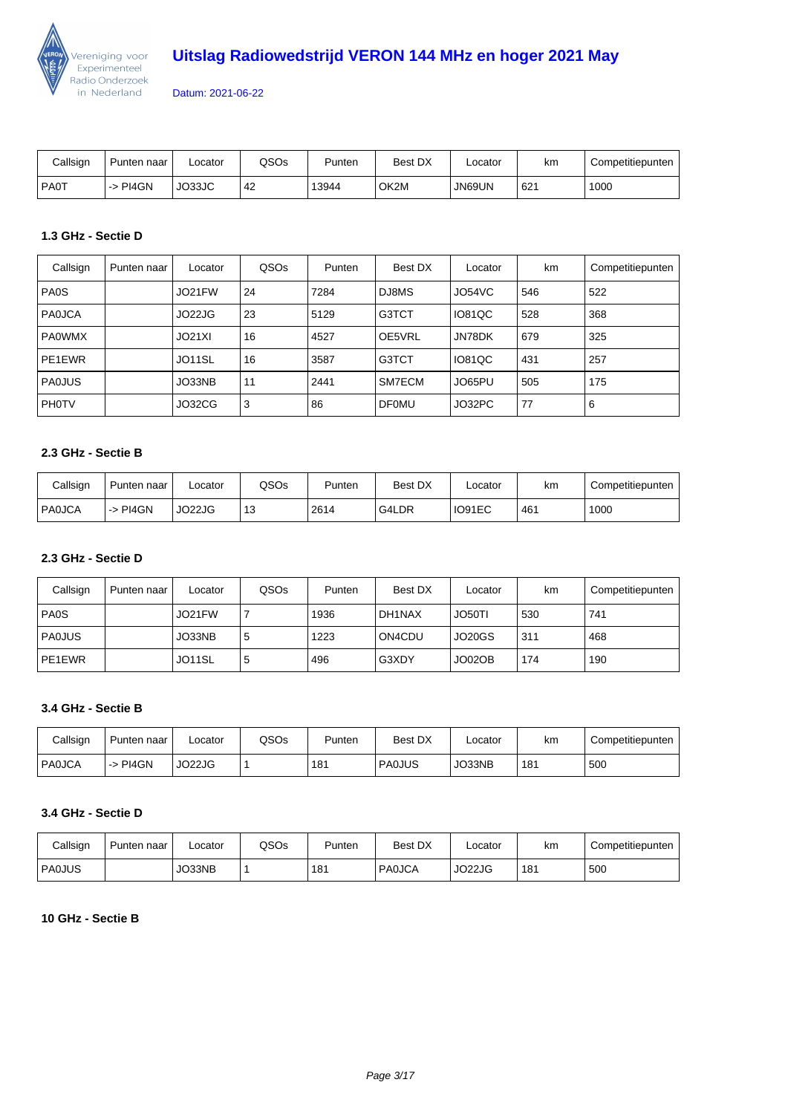

| Callsign      | Punten naar | Locator       | QSOs | Punten | Best DX | ∟ocator | km  | Competitiepunten |
|---------------|-------------|---------------|------|--------|---------|---------|-----|------------------|
| <b>I PAOT</b> | -> PI4GN    | <b>JO33JC</b> | 42   | 13944  | OK2M    | JN69UN  | 621 | 1000             |

### **1.3 GHz - Sectie D**

| Callsign      | Punten naar | Locator | QSOs | Punten | Best DX      | Locator | km  | Competitiepunten |
|---------------|-------------|---------|------|--------|--------------|---------|-----|------------------|
| PA0S          |             | JO21FW  | 24   | 7284   | DJ8MS        | JO54VC  | 546 | 522              |
| <b>PAOJCA</b> |             | JO22JG  | 23   | 5129   | G3TCT        | IO81QC  | 528 | 368              |
| <b>PA0WMX</b> |             | JO21XI  | 16   | 4527   | OE5VRL       | JN78DK  | 679 | 325              |
| PE1EWR        |             | JO11SL  | 16   | 3587   | G3TCT        | IO81QC  | 431 | 257              |
| <b>PAOJUS</b> |             | JO33NB  | 11   | 2441   | SM7ECM       | JO65PU  | 505 | 175              |
| <b>PHOTV</b>  |             | JO32CG  | 3    | 86     | <b>DF0MU</b> | JO32PC  | 77  | 6                |

#### **2.3 GHz - Sectie B**

| Callsign      | Punten naar | _ocator | QSOs | Punten | Best DX | ∟ocator | km  | Competitiepunten |
|---------------|-------------|---------|------|--------|---------|---------|-----|------------------|
| <b>PAOJCA</b> | l -> PI4GN  | JO22JG  | 13   | 2614   | G4LDR   | IO91EC  | 461 | 1000             |

### **2.3 GHz - Sectie D**

| Callsign      | Punten naar | Locator | QSOs | Punten | Best DX | Locator | km  | Competitiepunten |
|---------------|-------------|---------|------|--------|---------|---------|-----|------------------|
| PA0S          |             | JO21FW  |      | 1936   | DH1NAX  | JO50TI  | 530 | 741              |
| <b>PAOJUS</b> |             | JO33NB  | 5    | 1223   | ON4CDU  | JO20GS  | 311 | 468              |
| PE1EWR        |             | JO11SL  | 5    | 496    | G3XDY   | JO02OB  | 174 | 190              |

### **3.4 GHz - Sectie B**

| Callsign | Punten naar | .ocator | QSOs | Punten | Best DX       | Locator | km  | Competitiepunten |
|----------|-------------|---------|------|--------|---------------|---------|-----|------------------|
| l PA0JCA | PI4GN<br>-> | JO22JG  |      | 181    | <b>PAOJUS</b> | JO33NB  | 181 | 500              |

#### **3.4 GHz - Sectie D**

| Callsign | I Punten naar | _ocator | QSOs | Punten | Best DX       | ∟ocator | km  | Competitiepunten |
|----------|---------------|---------|------|--------|---------------|---------|-----|------------------|
| PA0JUS   |               | JO33NB  |      | 181    | <b>PAOJCA</b> | JO22JG  | 181 | 500              |

### **10 GHz - Sectie B**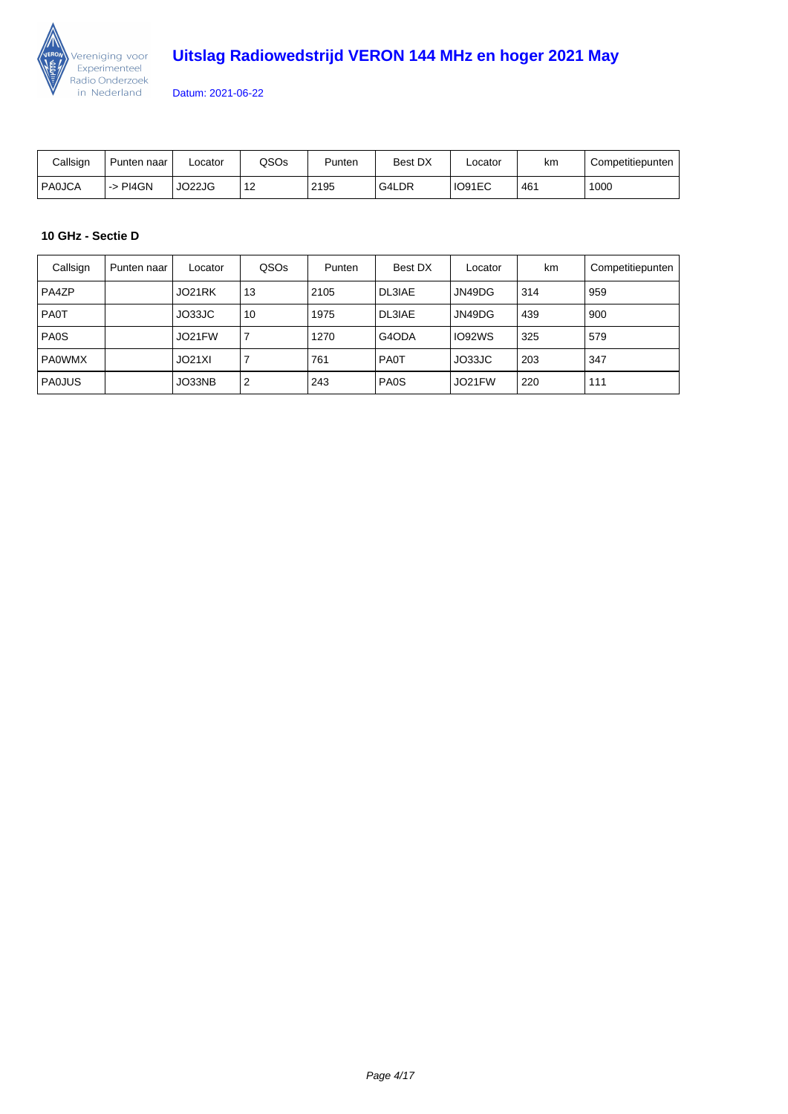

| Callsign      | Punten naar | _ocator | QSOs       | Punten | <b>Best DX</b> | ∟ocator | km  | Competitiepunten |
|---------------|-------------|---------|------------|--------|----------------|---------|-----|------------------|
| <b>PAOJCA</b> | i -> PI4GN  | JO22JG  | $-1o$<br>▵ | 2195   | G4LDR          | IO91EC  | 461 | 1000             |

### **10 GHz - Sectie D**

| Callsign      | Punten naar | Locator | QSO <sub>s</sub> | Punten | Best DX       | Locator | km  | Competitiepunten |
|---------------|-------------|---------|------------------|--------|---------------|---------|-----|------------------|
| PA4ZP         |             | JO21RK  | 13               | 2105   | <b>DL3IAE</b> | JN49DG  | 314 | 959              |
| <b>PAOT</b>   |             | JO33JC  | 10               | 1975   | <b>DL3IAE</b> | JN49DG  | 439 | 900              |
| PA0S          |             | JO21FW  |                  | 1270   | G4ODA         | IO92WS  | 325 | 579              |
| <b>PAOWMX</b> |             | JO21XI  |                  | 761    | <b>PA0T</b>   | JO33JC  | 203 | 347              |
| PAOJUS        |             | JO33NB  | $\overline{2}$   | 243    | PA0S          | JO21FW  | 220 | 111              |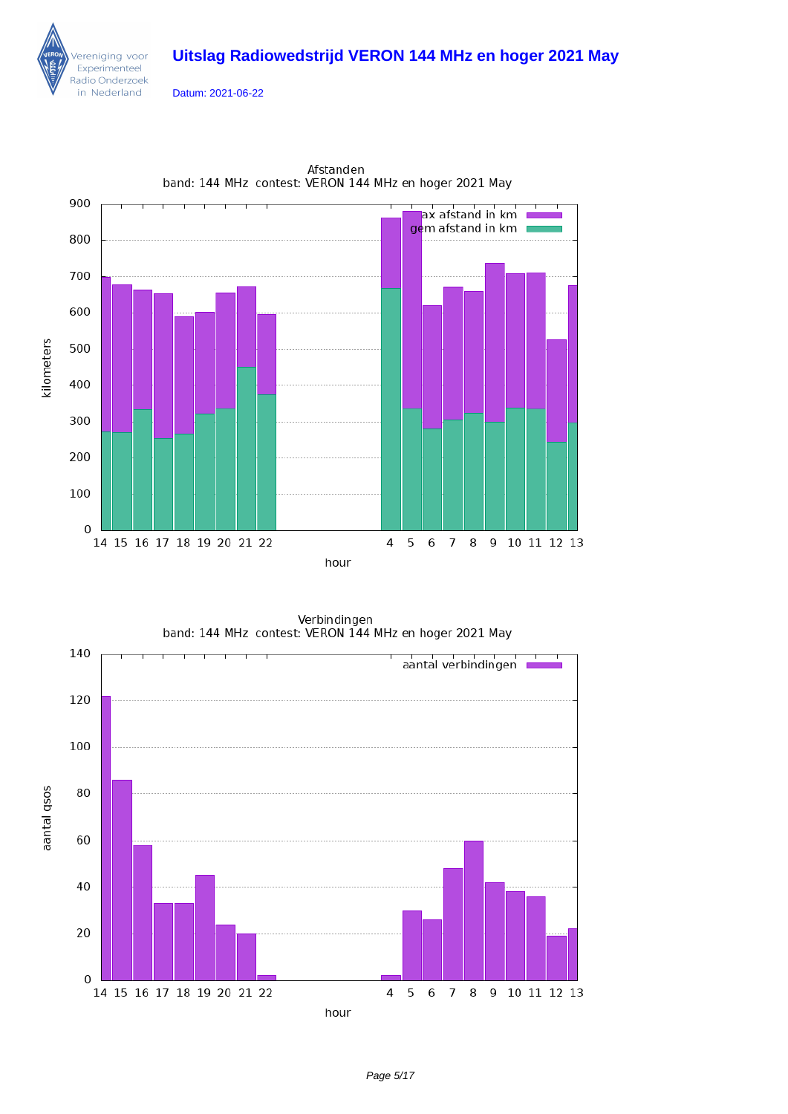

ereniging voor Experimenteel Radio Onderzoek in Nederland



Afstanden band: 144 MHz contest: VERON 144 MHz en hoger 2021 May

Verbindingen band: 144 MHz contest: VERON 144 MHz en hoger 2021 May

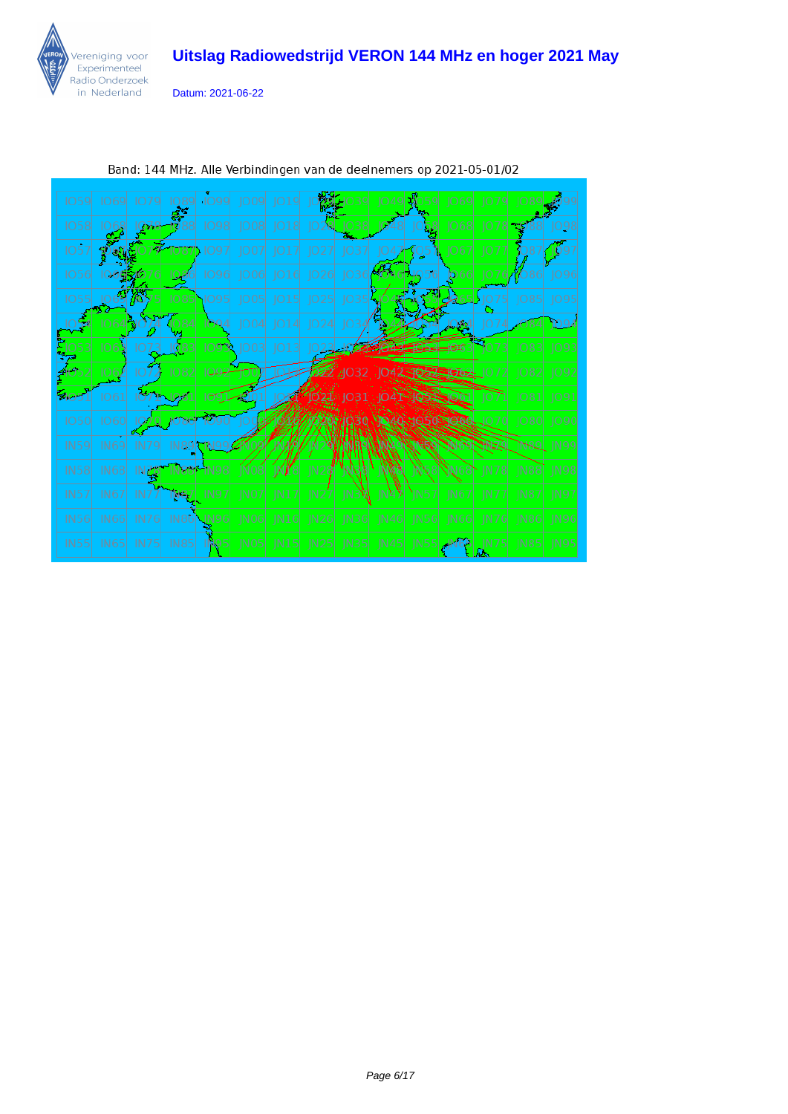

Datum: 2021-06-22



Band: 144 MHz. Alle Verbindingen van de deelnemers op 2021-05-01/02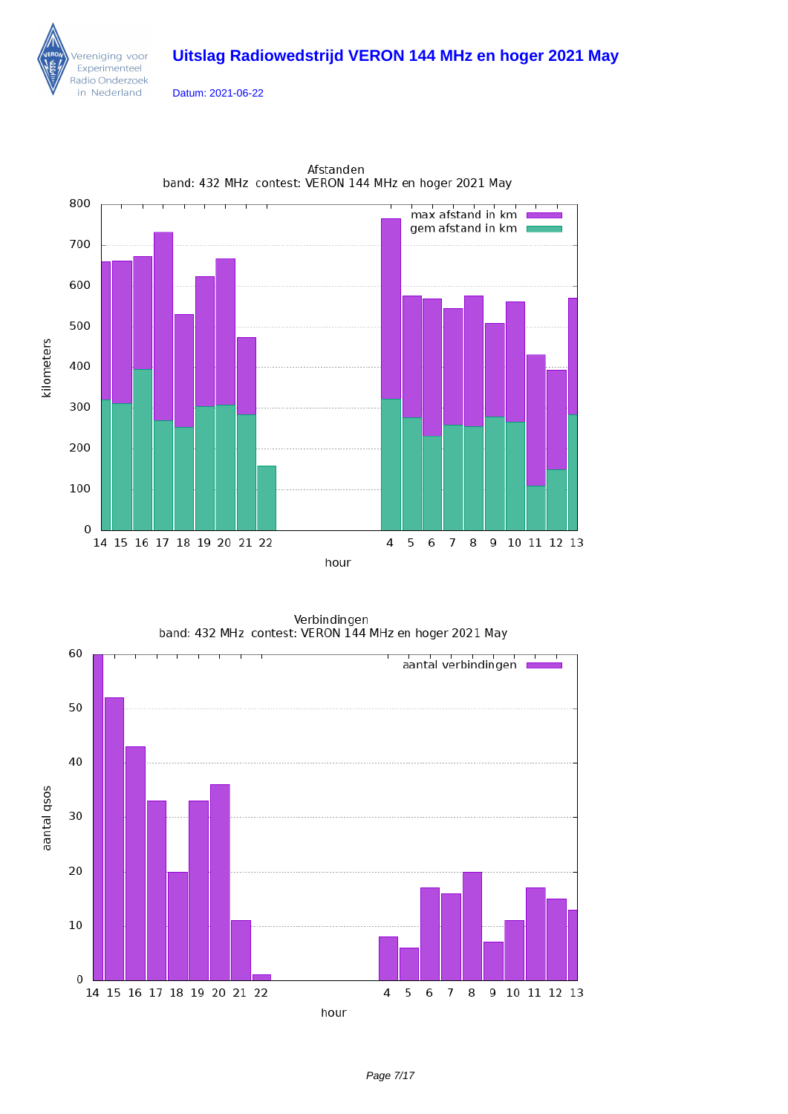

Datum: 2021-06-22



Afstanden band: 432 MHz contest: VERON 144 MHz en hoger 2021 May

Verbindingen<br>band: 432 MHz contest: VERON 144 MHz en hoger 2021 May

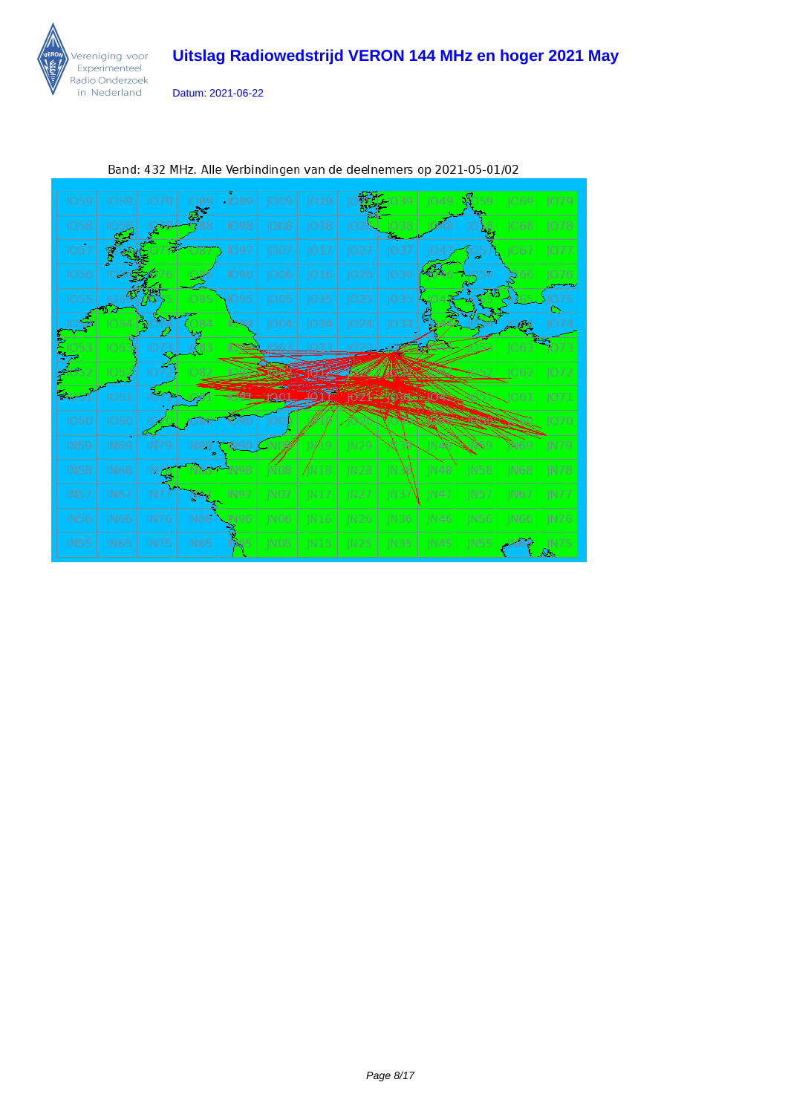

Datum: 2021-06-22

| 1059             | 1069                    | 1079        | 1089<br>学   | $-1099$     | JO09             | JO19  |       |                  | 1049        |                 | 1069        | JO79             |
|------------------|-------------------------|-------------|-------------|-------------|------------------|-------|-------|------------------|-------------|-----------------|-------------|------------------|
| 1058             |                         | Q78         |             | 1098        | JO08             | 018   |       | 1038             |             |                 | 1068        | 1078             |
| 1057             |                         |             | 1087        | 1097        | JO07             | JO 17 | JO27  | 037              |             | 905             | 1067        | 1077             |
| 1056             |                         |             |             | 1096        | 1006             | 016   | JO26  | 036              | 4646        | 56              | 066         | 1076             |
| 1055             |                         |             | 1085        | 095         | JO05             | JO15  | JO25  | JO35             |             |                 |             |                  |
|                  | 1064                    | B) (        | 1084        | 094         | 1004             | ]014  | JO24  | JO34             |             |                 | 10,84       | IO 74            |
| 053              | IO6                     |             |             | <b>NSE</b>  |                  |       |       |                  |             |                 | 1063        | 1073             |
|                  | $\overline{\text{O62}}$ | IО          |             |             |                  |       |       |                  |             | 49.52           | 1062        | 1072             |
| 805.             | 1061                    |             |             |             |                  |       |       |                  |             |                 | 1061        | 1071             |
| <b>1050</b>      | 1060                    |             |             |             |                  |       |       |                  |             |                 |             | 1070             |
| <b>IN59</b>      | <b>IN69</b>             | IN79        | IN89        |             | <b>IND22</b>     | JN/19 | N29   |                  | IN AP       |                 |             | <b>IN79</b>      |
| <b>IN58</b>      | <b>IN68</b>             | N76         |             |             | jN08             | /N18  | JN28  | JN 38            | <b>IN48</b> | <b>IN58</b>     | <b>IN68</b> | $\overline{N78}$ |
| <b>IN57</b>      | <b>IN67</b>             | IN7         | N87         | <b>IN97</b> | INO7             | IN17  | IN27  | <b>IN37</b>      | <b>IN47</b> | IN57            | IN67        | INT              |
| <b>IN56</b>      | IN66                    | <b>IN76</b> | IN86        | JN96        | IN <sub>06</sub> | IN16  | IN26  | IN <sub>36</sub> | <b>IN46</b> | IN56            | <b>IN66</b> | IN76             |
| IN <sub>55</sub> | IN <sub>65</sub>        | <b>IN75</b> | <b>IN85</b> | IN 95.      | INOS             | IN15  | IN 25 | IN35             | JN45        | IN <sub>5</sub> |             | IN 75            |

Band: 432 MHz. Alle Verbindingen van de deelnemers op 2021-05-01/02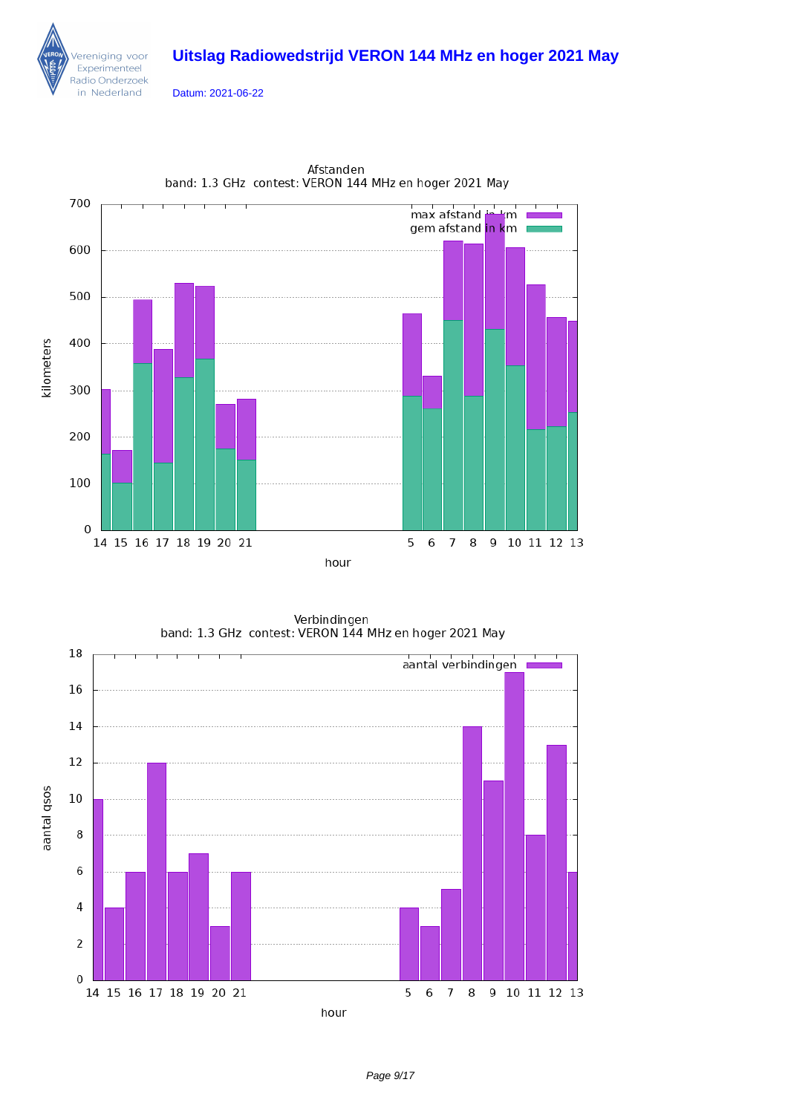Datum: 2021-06-22

ereniging voor Experimenteel Radio Onderzoek in Nederland



Afstanden band: 1.3 GHz contest: VERON 144 MHz en hoger 2021 May

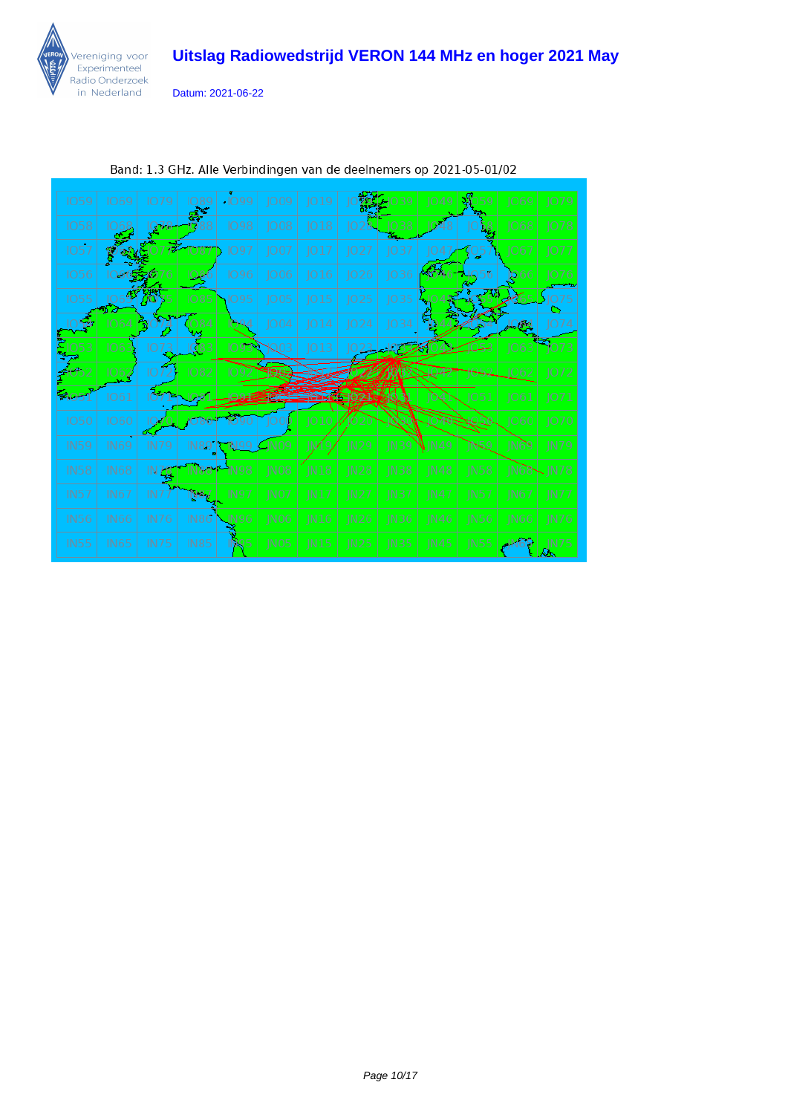

Datum: 2021-06-22

| <b>IO59</b>      | <b>1069</b> | 1079            | 089         | $-1099$ | JO09             | JO19          |             |             | Ю           |             | 1069        | 1079         |
|------------------|-------------|-----------------|-------------|---------|------------------|---------------|-------------|-------------|-------------|-------------|-------------|--------------|
| 1058             |             | Q78             |             | 1098    | 008              | 018           | IO.         | 1038        |             |             | 068         | 1078         |
| <b>1057</b>      |             |                 | 1087        | 1097    | 1007             | JO 17         | JO27        | 037         | 1047        | 105         | 1067        | 1077         |
| <b>1056</b>      |             |                 |             | 1096    | 1006             | 016           | 026         | JO36        |             |             | <b>D</b> 66 | 1076         |
| 1055             |             |                 | 1085        | 095     | JO05             | 015           | JO25        | JO35        |             |             |             |              |
|                  | 1064        | 게               | 1084        | 094     | 1004             | ]014          | 1024        | 1034        |             |             | JO 64       | JO 74        |
| วรว              | 106         |                 | IQ83        | 1093    | 903              | 13<br>Ю       |             |             |             |             | 1063        | 1073         |
|                  | 062         | 10              | 1082        |         |                  |               |             |             |             |             | 1062        | 1072         |
| -405             | 1061        |                 |             |         |                  | <b>SKICES</b> | 8           | И           |             | 1051        | 1061        | 1071         |
| <b>1050</b>      | 1060        |                 |             |         |                  | 1010          |             |             |             |             | 1060        | 1070         |
| <b>IN59</b>      | <b>IN69</b> | IN79            | <b>IN89</b> |         | TN09             | IN            | N29         | JN39        | N149        | 45.9        | IN 69       | IN79         |
| <b>IN58</b>      | <b>IN68</b> | IN 78           |             | 1N 98   | IN <sub>08</sub> | <b>IN18</b>   | <b>IN28</b> | IN38        | IN48        | <b>IN58</b> | 1N68        | $\sqrt{N78}$ |
| <b>IN57</b>      | <b>IN67</b> | IN <sub>7</sub> | N87         | IN 97   | INO7             | IN 17         | IN27        | N37         | IN 47       | IN57        | IN67        | <b>IN77</b>  |
| IN <sub>56</sub> | IN66        | <b>IN76</b>     | IN86        | JN96    | IN <sub>06</sub> | IN16          | <b>IN26</b> | IN36        | <b>IN46</b> | IN56        | IN66        | <b>IN76</b>  |
| <b>IN55</b>      | <b>IN65</b> | <b>IN75</b>     | <b>IN85</b> | IN 95   | IN <sub>05</sub> | IN15          | <b>IN25</b> | <b>IN35</b> | IN45        | IN55        |             | N75          |

Band: 1.3 GHz. Alle Verbindingen van de deelnemers op 2021-05-01/02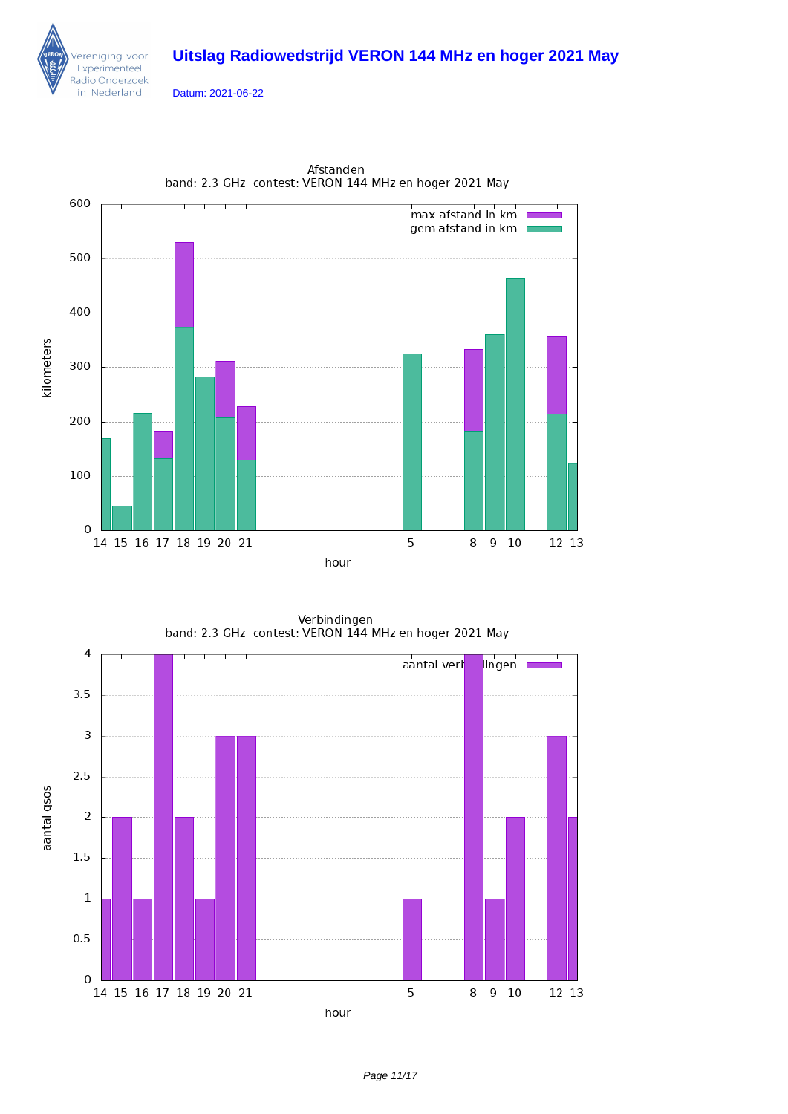Datum: 2021-06-22

ereniging voor Experimenteel Radio Onderzoek in Nederland



Afstanden band: 2.3 GHz contest: VERON 144 MHz en hoger 2021 May

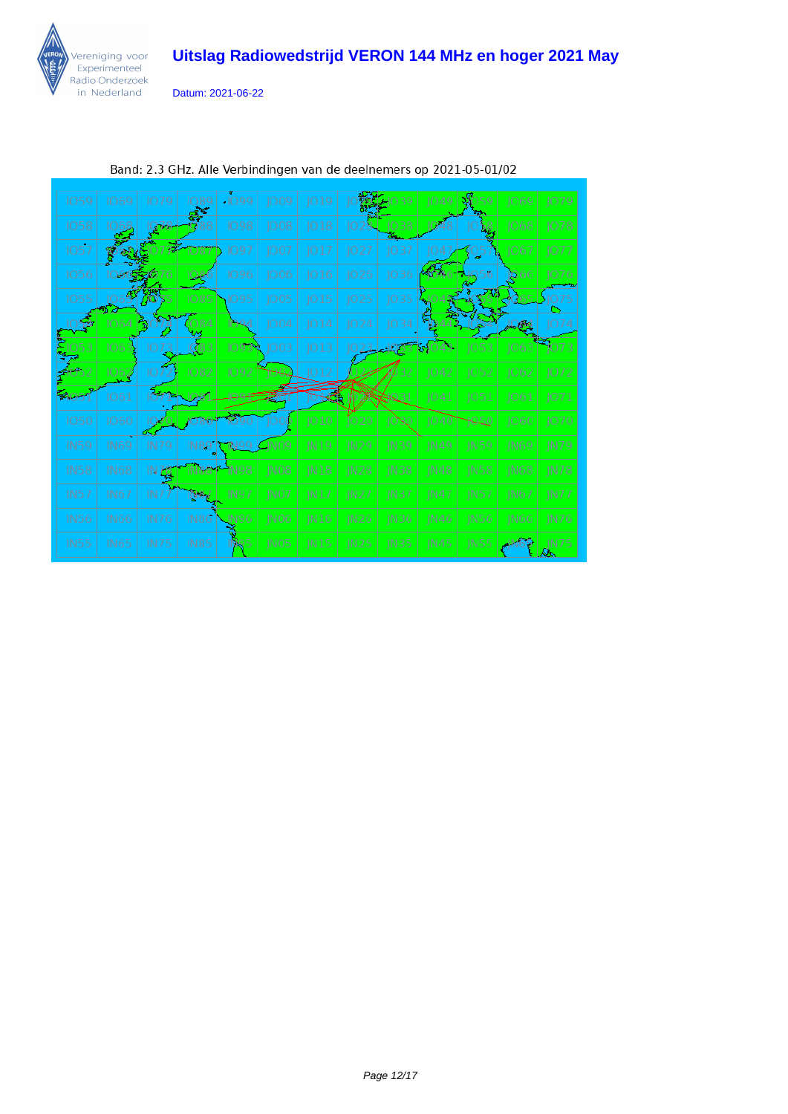

Datum: 2021-06-22

| <b>IO59</b> | <b>IO69</b> | 1079            | 089         | $-1099$     | 1009              | JO19 |                  |                    | 1049        |             | JO69             | 1079        |
|-------------|-------------|-----------------|-------------|-------------|-------------------|------|------------------|--------------------|-------------|-------------|------------------|-------------|
| 1058        |             | <b>UTA</b>      |             | 1098        | 1008              | 018  |                  | $-1038$            |             |             | 1068             | 1078        |
| 1057        |             |                 | 1087        | 1097        | 1007              | 017  | JO27             | 1037               |             |             | 1067             | 1077        |
| 1056        |             |                 |             | 1096        | 1006              | 1016 | 1026             | 036                |             |             | <b>D</b> 66      | 1076        |
| 1055        |             | VO.             | 1085        | 1095        | JO05              | JO15 | JO25             | JO35               |             |             |                  |             |
|             | 1064        | M)              | 084         | 094         | 1004              | JO14 | JO24             | JO34               | <b>SA</b>   |             | 994              | 1074        |
| 053         | 106         |                 | 1083        | 1093        | JO03              | 013  |                  |                    |             | 1053        | $ 063\rangle$    | 1073        |
|             | 1062        | IO.             | 1082        | 1092        |                   | 1012 |                  |                    | 1042        | 1052        | 1062             | 1072        |
|             | 1061        |                 |             |             |                   |      |                  |                    | 1041        | 1051        | 1061             | 1071        |
| <b>IO50</b> | 1060        |                 |             |             |                   | 010  | 1020             | IONO               | 1040        |             | 1060             | 1070        |
| <b>IN59</b> | IN69        | IN79            | IN89   I    | TN 99       | $\mathcal{L}$ NO9 | JN19 | IN <sub>29</sub> | <b>IN39</b>        | IN49        | IN59        | <b>IN69</b>      | <b>IN79</b> |
| <b>IN58</b> | <b>IN68</b> | IN 78           |             | IN 98       | IN <sub>08</sub>  | IN18 | IN28             | $J$ <sub>N38</sub> | <b>IN48</b> | <b>IN58</b> | IN <sub>68</sub> | <b>IN78</b> |
| <b>IN57</b> | IN67        | IN <sub>7</sub> | N87         | IN 97       | IN <sub>07</sub>  | IN17 | IN27             | IN37               | IN47        | IN57        | IN67             | <b>IN77</b> |
| <b>IN56</b> | IN66        | <b>IN76</b>     | <b>IN86</b> | <b>IN96</b> | IN <sub>06</sub>  | N16  | IN26             | IN <sub>36</sub>   | IN46        | <b>IN56</b> | N66              | IN76        |
| <b>IN55</b> | <b>IN65</b> | <b>IN75</b>     | <b>IN85</b> | W. 5        | IN <sub>05</sub>  | IN15 | IN25             | IN35               | IN45        | JN55        |                  | JN75        |

Band: 2.3 GHz. Alle Verbindingen van de deelnemers op 2021-05-01/02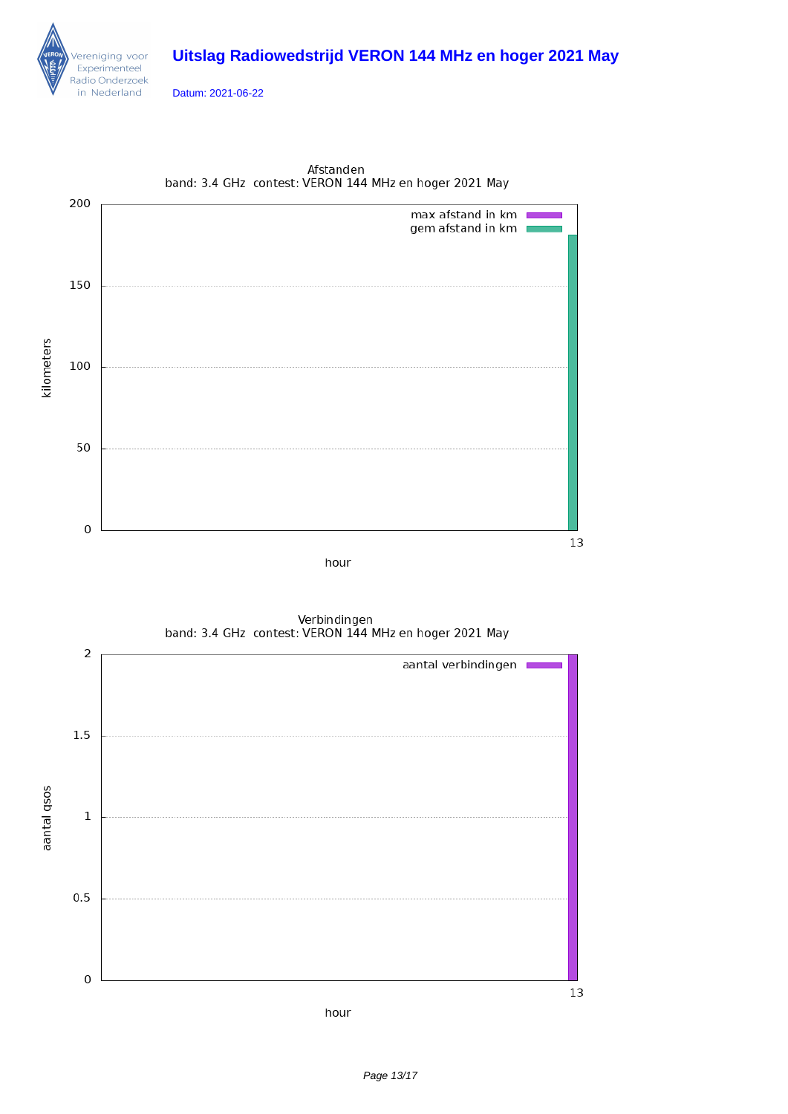

Datum: 2021-06-22



Afstanden band: 3.4 GHz contest: VERON 144 MHz en hoger 2021 May



Verbindingen band: 3.4 GHz contest: VERON 144 MHz en hoger 2021 May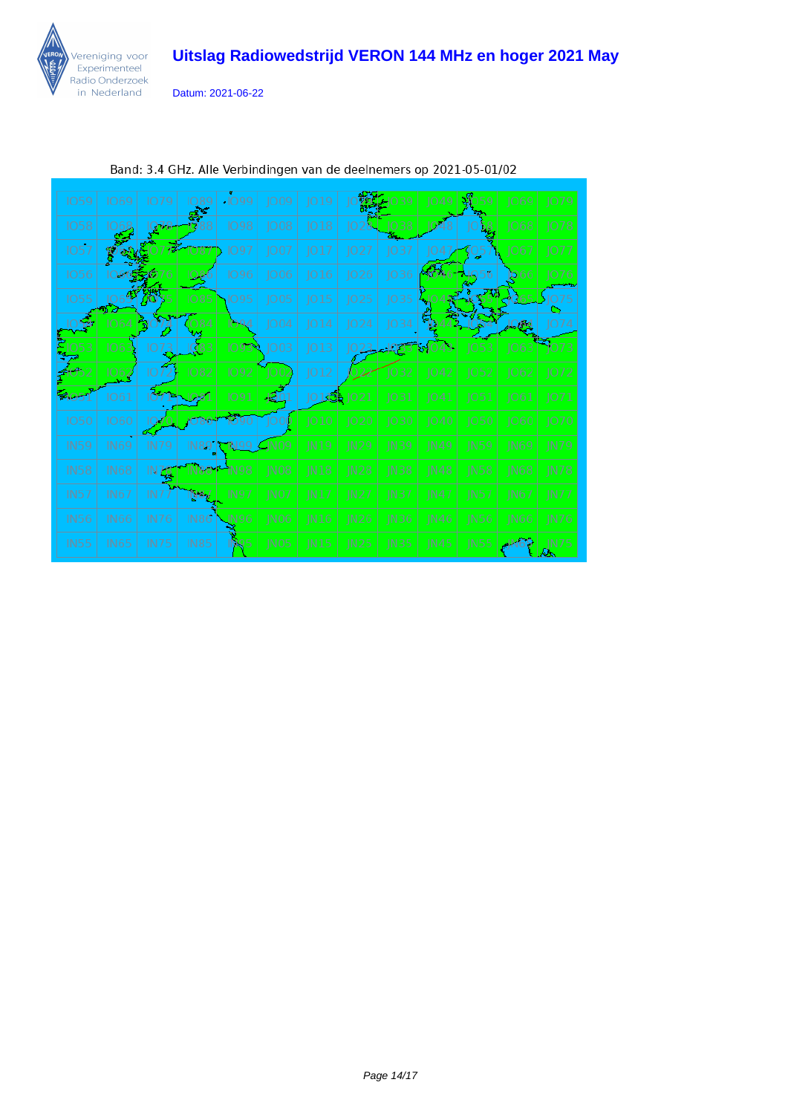

Datum: 2021-06-22

| <b>IO59</b> | <b>IO69</b> | 1079        | 089         | $-1099$ | 1009                         | 019         |             |                  | 1049        |             | 1069        | 1079        |
|-------------|-------------|-------------|-------------|---------|------------------------------|-------------|-------------|------------------|-------------|-------------|-------------|-------------|
| 1058        |             | $\sqrt{16}$ |             | 1098    | 1008                         | 018         |             | 1038             |             |             | 1068        | 1078        |
| 1057        |             |             | 1087        | 1097    | 1007                         | 1017        | 1027        | 1037             |             |             | 1067        | 1077        |
| 1056        |             |             |             | 1096    | 1006                         | 016         | 1026        | 036              |             |             | D66         | 1076        |
| 1055        |             |             | <b>1085</b> | 1095    | JO05                         | 015         | JO25        | 1035             |             |             |             |             |
|             | 1064        | ۱W          | 084         | 094     | 1004                         | 014         | 1024        | IO34             |             |             | 294         | 1074        |
| )53         | 106         |             | 1083        | 1093    | JO03                         | 013         |             |                  | 43<br>RAO   | 1053        | 063         | 1073        |
|             | 062         |             | 1082        | 1092    | IO 01                        | JO12        |             | 1032             | 1042        | 1052        | 1062        | 1072        |
| 1205        | 1061        |             |             | 1091    | $\mathbf{\Phi}$              | 01選         |             | 1031             | 1041        | 1051        | 1061        | 1071        |
| 1050        | 1060        |             |             |         |                              | 010         | 1020        | 1030             | 1040        | 1050        | 1060        | 1070        |
| <b>IN59</b> | <b>IN69</b> | IN79        | IN89        |         | N09                          | <b>IN19</b> | <b>IN29</b> | <b>IN39</b>      | IN 49       | IN59        | IN69        | <b>IN79</b> |
| <b>IN58</b> | <b>IN68</b> | N76         |             | IN 98   | IN <sub>08</sub>             | <b>IN18</b> | IN28        | IN <sub>38</sub> | IN48        | <b>IN58</b> | <b>IN68</b> | <b>IN78</b> |
| <b>IN57</b> | <b>IN67</b> | IN7         | N87         | IN97    | INO7                         | IN17        | IN27        | IN37             | IN47        | IN57        | IN67        | <b>IN77</b> |
| <b>IN56</b> | <b>IN66</b> | IN76        | IN86        | IN 96   | IN <sub>0</sub> <sub>6</sub> | IN16        | IN26        | IN <sub>36</sub> | IN46        | <b>IN56</b> | <b>IN66</b> | <b>IN76</b> |
| <b>IN55</b> | <b>IN65</b> | <b>IN75</b> | <b>IN85</b> | NO 5    | IN05                         | IN15        | <b>IN25</b> | IN35             | <b>IN45</b> | IN55        |             | N75         |

Band: 3.4 GHz. Alle Verbindingen van de deelnemers op 2021-05-01/02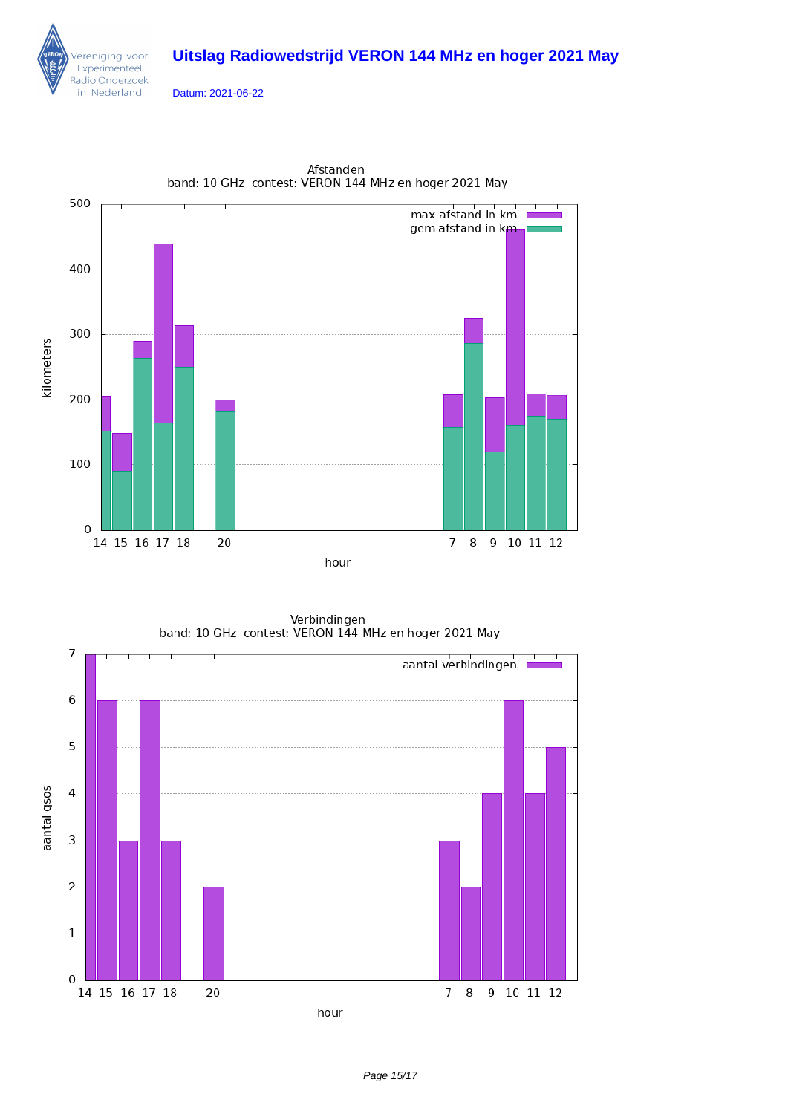Datum: 2021-06-22

ereniging voor Experimenteel Radio Onderzoek in Nederland

 $\overline{0}$ 

14 15 16 17 18

20



Afstanden band: 10 GHz contest: VERON 144 MHz en hoger 2021 May

Verbindingen band: 10 GHz contest: VERON 144 MHz en hoger 2021 May  $\overline{7}$ aantal verbindingen 6 5 aantal qsos  $\overline{\mathcal{L}}$  $\mathfrak{Z}$  $\overline{2}$  $\mathbf 1$ 

hour

Page 15/17

 $78$ 

9 10 11 12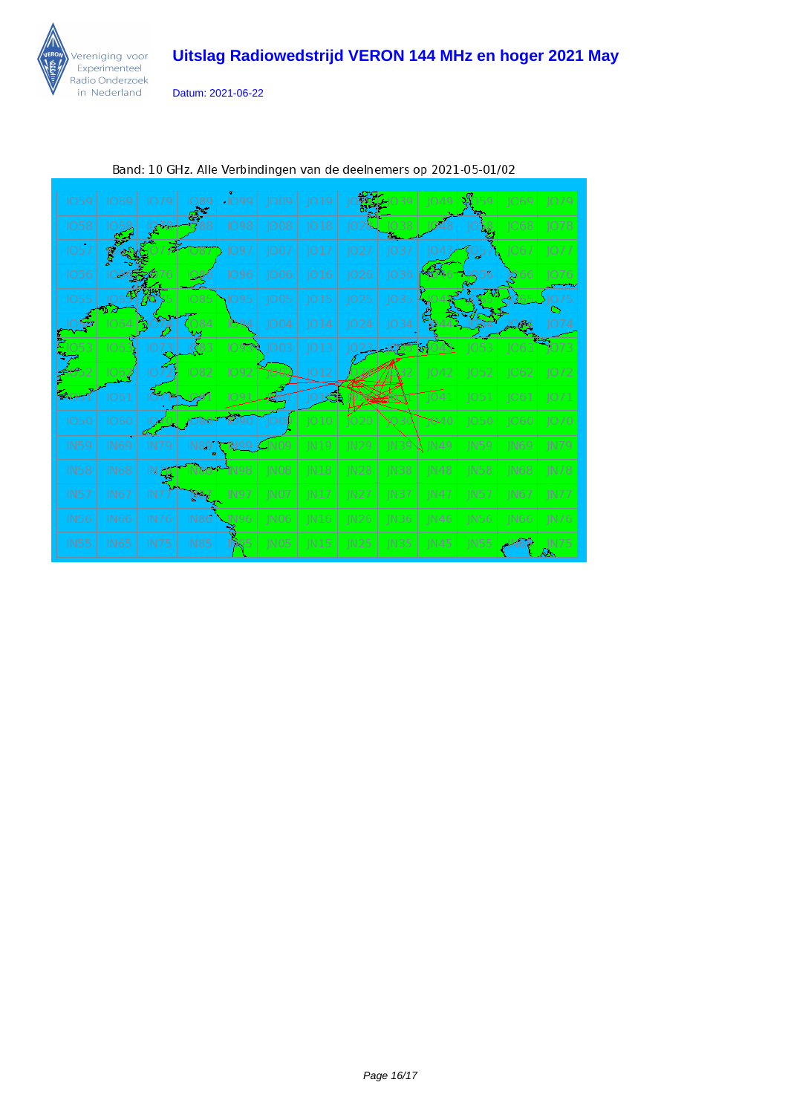

Datum: 2021-06-22

| <b>IO59</b> | 1069        | 1079        | O89         | $-1099$ | 1009             | JO19        |                  | 39          | 1049         |             | 1069        | 1079        |
|-------------|-------------|-------------|-------------|---------|------------------|-------------|------------------|-------------|--------------|-------------|-------------|-------------|
| <b>IO58</b> |             | Q78         |             | 1098    | JO08             | ]018        |                  | 1038        |              |             | 068         | 1078        |
| 1057        |             |             | 1087        | 1097    | 1007             | 017         | JO27             | 1037        |              | JQ5         | 1067        | 1077        |
| 1056        |             |             |             | 1096    | 1006             | 1016        | 026              | JO36        | Striku       |             | D66         | 1076        |
| 1055        |             | ŊΟ          | 1085        | IO 95   | JO05             | JO15        | JO25             | JO35        |              |             |             |             |
|             | 1064        | $\Box$      | 1084        | 094     | 1004             | IO14        | JO24             | IO34        |              |             | 24 م ب      | 074         |
|             |             |             |             | 10939   | 1003             | JO 13       |                  |             | <b>89043</b> | 1053        | 1063        | 1073        |
|             | 1062        | 10          | 1082        | 1092    |                  | 1012        |                  |             | 1042         | 1052        | 1062        | 1072        |
| <b>2053</b> | 1061        |             |             |         |                  | 18          |                  |             | 1041         | 1051        | 1061        | 1071        |
| <b>IO50</b> | 1060        |             |             |         |                  | JO10        | JO 20            |             | 1940         | 1050        | 1060        | 1070        |
| <b>IN59</b> | <b>IN69</b> | <b>IN79</b> | IN89        | TN 99   | N09              | <b>IN19</b> | N29              | IN39        | ), IN49.     | <b>IN59</b> | <b>IN69</b> | <b>IN79</b> |
| <b>IN58</b> | <b>IN68</b> | IN ZB       |             | IN 98   | IN <sub>08</sub> | IN18        | IN28             | N38         | IN48         | <b>IN58</b> | <b>IN68</b> | N78         |
| IN57        | <b>IN67</b> | IN7         | N87         | IN 97   | INO7             | IN17        | IN27             | IN37        | IN 47        | IN57        | IN67        | <b>IN77</b> |
| <b>IN56</b> | <b>IN66</b> | <b>IN76</b> | IN86        | JN96    | 1NO6             | N16         | N <sub>26</sub>  | IN36        | IN46         | IN56        | IN66        | IN76        |
| <b>IN55</b> | IN65        | <b>IN75</b> | <b>IN85</b> | YK 95   | IN <sub>05</sub> | <b>IN15</b> | IN <sub>25</sub> | <b>IN35</b> | IN45         | IN55        |             | IN75        |

Band: 10 GHz. Alle Verbindingen van de deelnemers op 2021-05-01/02